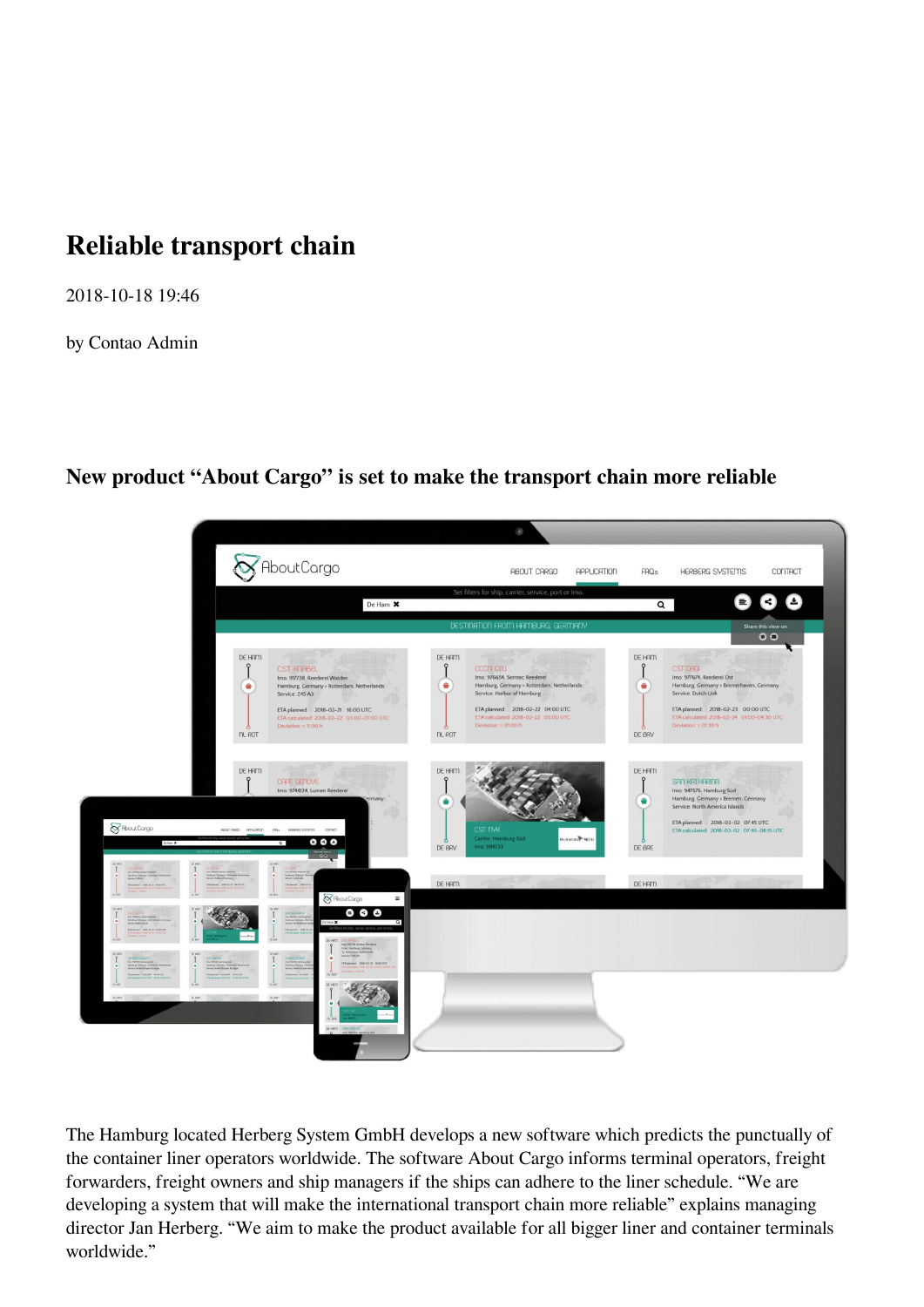## **Reliable transport chain**

2018-10-18 19:46

by Contao Admin

**New product "About Cargo" is set to make the transport chain more reliable**



The Hamburg located Herberg System GmbH develops a new software which predicts the punctually of the container liner operators worldwide. The software About Cargo informs terminal operators, freight forwarders, freight owners and ship managers if the ships can adhere to the liner schedule. "We are developing a system that will make the international transport chain more reliable" explains managing director Jan Herberg. "We aim to make the product available for all bigger liner and container terminals worldwide."